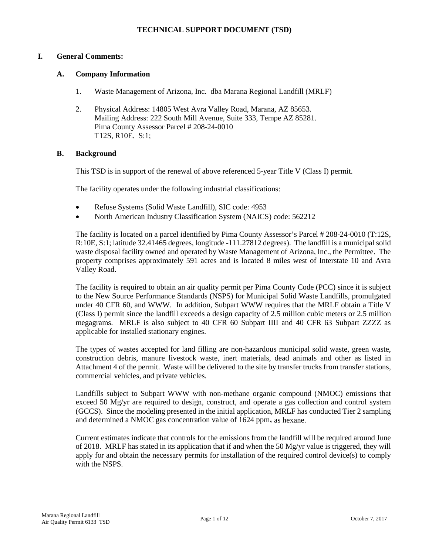### **I. General Comments:**

#### **A. Company Information**

- 1. Waste Management of Arizona, Inc. dba Marana Regional Landfill (MRLF)
- 2. Physical Address: 14805 West Avra Valley Road, Marana, AZ 85653. Mailing Address: 222 South Mill Avenue, Suite 333, Tempe AZ 85281. Pima County Assessor Parcel # 208-24-0010 T12S, R10E. S:1;

#### **B. Background**

This TSD is in support of the renewal of above referenced 5-year Title V (Class I) permit.

The facility operates under the following industrial classifications:

- Refuse Systems (Solid Waste Landfill), SIC code: 4953
- North American Industry Classification System (NAICS) code: 562212

The facility is located on a parcel identified by Pima County Assessor's Parcel # 208-24-0010 (T:12S, R:10E, S:1; latitude 32.41465 degrees, longitude -111.27812 degrees). The landfill is a municipal solid waste disposal facility owned and operated by Waste Management of Arizona, Inc., the Permittee. The property comprises approximately 591 acres and is located 8 miles west of Interstate 10 and Avra Valley Road.

The facility is required to obtain an air quality permit per Pima County Code (PCC) since it is subject to the New Source Performance Standards (NSPS) for Municipal Solid Waste Landfills, promulgated under 40 CFR 60, and WWW. In addition, Subpart WWW requires that the MRLF obtain a Title V (Class I) permit since the landfill exceeds a design capacity of 2.5 million cubic meters or 2.5 million megagrams. MRLF is also subject to 40 CFR 60 Subpart IIII and 40 CFR 63 Subpart ZZZZ as applicable for installed stationary engines.

The types of wastes accepted for land filling are non-hazardous municipal solid waste, green waste, construction debris, manure livestock waste, inert materials, dead animals and other as listed in Attachment 4 of the permit. Waste will be delivered to the site by transfer trucks from transfer stations, commercial vehicles, and private vehicles.

Landfills subject to Subpart WWW with non-methane organic compound (NMOC) emissions that exceed 50 Mg/yr are required to design, construct, and operate a gas collection and control system (GCCS). Since the modeling presented in the initial application, MRLF has conducted Tier 2 sampling and determined a NMOC gas concentration value of  $1624$  ppm, as hexane.

Current estimates indicate that controls for the emissions from the landfill will be required around June of 2018. MRLF has stated in its application that if and when the 50 Mg/yr value is triggered, they will apply for and obtain the necessary permits for installation of the required control device(s) to comply with the NSPS.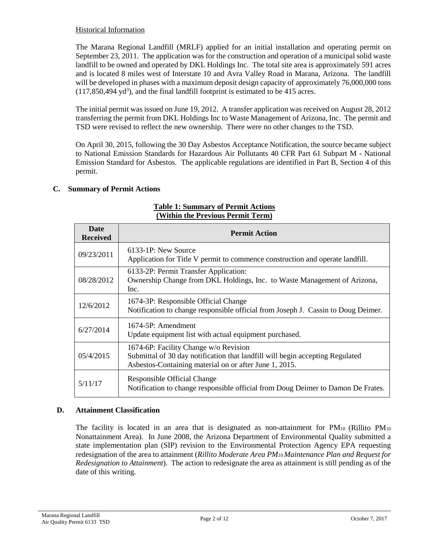## Historical Information

The Marana Regional Landfill (MRLF) applied for an initial installation and operating permit on September 23, 2011. The application was for the construction and operation of a municipal solid waste landfill to be owned and operated by DKL Holdings Inc. The total site area is approximately 591 acres and is located 8 miles west of Interstate 10 and Avra Valley Road in Marana, Arizona. The landfill will be developed in phases with a maximum deposit design capacity of approximately 76,000,000 tons  $(117,850,494 \text{ yd}^3)$ , and the final landfill footprint is estimated to be 415 acres.

The initial permit was issued on June 19, 2012. A transfer application was received on August 28, 2012 transferring the permit from DKL Holdings Inc to Waste Management of Arizona, Inc. The permit and TSD were revised to reflect the new ownership. There were no other changes to the TSD.

On April 30, 2015, following the 30 Day Asbestos Acceptance Notification, the source became subject to National Emission Standards for Hazardous Air Pollutants 40 CFR Part 61 Subpart M - National Emission Standard for Asbestos. The applicable regulations are identified in Part B, Section 4 of this permit.

## **C. Summary of Permit Actions**

| Date<br><b>Received</b> | <b>Permit Action</b>                                                                                                                                                             |
|-------------------------|----------------------------------------------------------------------------------------------------------------------------------------------------------------------------------|
| 09/23/2011              | $6133-1P$ : New Source<br>Application for Title V permit to commence construction and operate landfill.                                                                          |
| 08/28/2012              | 6133-2P: Permit Transfer Application:<br>Ownership Change from DKL Holdings, Inc. to Waste Management of Arizona,<br>Inc.                                                        |
| 12/6/2012               | 1674-3P: Responsible Official Change<br>Notification to change responsible official from Joseph J. Cassin to Doug Deimer.                                                        |
| 6/27/2014               | 1674-5P: Amendment<br>Update equipment list with actual equipment purchased.                                                                                                     |
| 05/4/2015               | 1674-6P: Facility Change w/o Revision<br>Submittal of 30 day notification that landfill will begin accepting Regulated<br>Asbestos-Containing material on or after June 1, 2015. |
| 5/11/17                 | Responsible Official Change<br>Notification to change responsible official from Doug Deimer to Damon De Frates.                                                                  |

### **Table 1: Summary of Permit Actions (Within the Previous Permit Term)**

# **D. Attainment Classification**

The facility is located in an area that is designated as non-attainment for PM10 (Rillito PM10 Nonattainment Area). In June 2008, the Arizona Department of Environmental Quality submitted a state implementation plan (SIP) revision to the Environmental Protection Agency EPA requesting redesignation of the area to attainment (*Rillito Moderate Area PM10 Maintenance Plan and Request for Redesignation to Attainment*). The action to redesignate the area as attainment is still pending as of the date of this writing.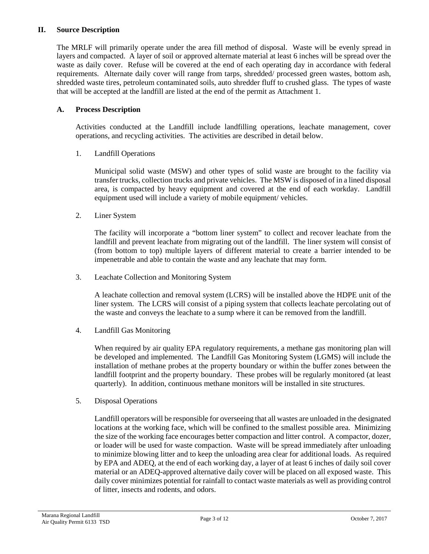### **II. Source Description**

The MRLF will primarily operate under the area fill method of disposal. Waste will be evenly spread in layers and compacted. A layer of soil or approved alternate material at least 6 inches will be spread over the waste as daily cover. Refuse will be covered at the end of each operating day in accordance with federal requirements. Alternate daily cover will range from tarps, shredded/ processed green wastes, bottom ash, shredded waste tires, petroleum contaminated soils, auto shredder fluff to crushed glass. The types of waste that will be accepted at the landfill are listed at the end of the permit as Attachment 1.

## **A. Process Description**

Activities conducted at the Landfill include landfilling operations, leachate management, cover operations, and recycling activities. The activities are described in detail below.

1. Landfill Operations

Municipal solid waste (MSW) and other types of solid waste are brought to the facility via transfer trucks, collection trucks and private vehicles. The MSW is disposed of in a lined disposal area, is compacted by heavy equipment and covered at the end of each workday. Landfill equipment used will include a variety of mobile equipment/ vehicles.

2. Liner System

The facility will incorporate a "bottom liner system" to collect and recover leachate from the landfill and prevent leachate from migrating out of the landfill. The liner system will consist of (from bottom to top) multiple layers of different material to create a barrier intended to be impenetrable and able to contain the waste and any leachate that may form.

3. Leachate Collection and Monitoring System

A leachate collection and removal system (LCRS) will be installed above the HDPE unit of the liner system. The LCRS will consist of a piping system that collects leachate percolating out of the waste and conveys the leachate to a sump where it can be removed from the landfill.

4. Landfill Gas Monitoring

When required by air quality EPA regulatory requirements, a methane gas monitoring plan will be developed and implemented. The Landfill Gas Monitoring System (LGMS) will include the installation of methane probes at the property boundary or within the buffer zones between the landfill footprint and the property boundary. These probes will be regularly monitored (at least quarterly). In addition, continuous methane monitors will be installed in site structures.

5. Disposal Operations

Landfill operators will be responsible for overseeing that all wastes are unloaded in the designated locations at the working face, which will be confined to the smallest possible area. Minimizing the size of the working face encourages better compaction and litter control. A compactor, dozer, or loader will be used for waste compaction. Waste will be spread immediately after unloading to minimize blowing litter and to keep the unloading area clear for additional loads. As required by EPA and ADEQ, at the end of each working day, a layer of at least 6 inches of daily soil cover material or an ADEQ-approved alternative daily cover will be placed on all exposed waste. This daily cover minimizes potential for rainfall to contact waste materials as well as providing control of litter, insects and rodents, and odors.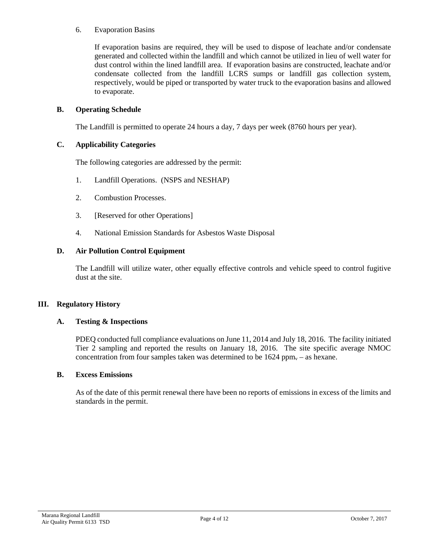### 6. Evaporation Basins

If evaporation basins are required, they will be used to dispose of leachate and/or condensate generated and collected within the landfill and which cannot be utilized in lieu of well water for dust control within the lined landfill area. If evaporation basins are constructed, leachate and/or condensate collected from the landfill LCRS sumps or landfill gas collection system, respectively, would be piped or transported by water truck to the evaporation basins and allowed to evaporate.

## **B. Operating Schedule**

The Landfill is permitted to operate 24 hours a day, 7 days per week (8760 hours per year).

### **C. Applicability Categories**

The following categories are addressed by the permit:

- 1. Landfill Operations. (NSPS and NESHAP)
- 2. Combustion Processes.
- 3. [Reserved for other Operations]
- 4. National Emission Standards for Asbestos Waste Disposal

### **D. Air Pollution Control Equipment**

The Landfill will utilize water, other equally effective controls and vehicle speed to control fugitive dust at the site.

### **III. Regulatory History**

### **A. Testing & Inspections**

PDEQ conducted full compliance evaluations on June 11, 2014 and July 18, 2016. The facility initiated Tier 2 sampling and reported the results on January 18, 2016. The site specific average NMOC concentration from four samples taken was determined to be  $1624$  ppm<sub>v</sub> – as hexane.

### **B. Excess Emissions**

As of the date of this permit renewal there have been no reports of emissions in excess of the limits and standards in the permit.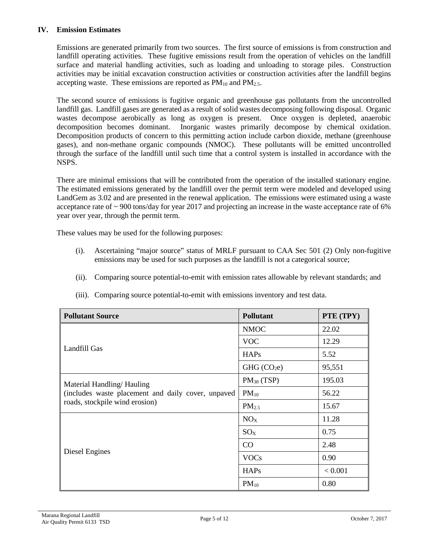### **IV. Emission Estimates**

Emissions are generated primarily from two sources. The first source of emissions is from construction and landfill operating activities. These fugitive emissions result from the operation of vehicles on the landfill surface and material handling activities, such as loading and unloading to storage piles. Construction activities may be initial excavation construction activities or construction activities after the landfill begins accepting waste. These emissions are reported as  $PM_{10}$  and  $PM_{2.5}$ .

The second source of emissions is fugitive organic and greenhouse gas pollutants from the uncontrolled landfill gas. Landfill gases are generated as a result of solid wastes decomposing following disposal. Organic wastes decompose aerobically as long as oxygen is present. Once oxygen is depleted, anaerobic decomposition becomes dominant. Inorganic wastes primarily decompose by chemical oxidation. Decomposition products of concern to this permitting action include carbon dioxide, methane (greenhouse gases), and non-methane organic compounds (NMOC). These pollutants will be emitted uncontrolled through the surface of the landfill until such time that a control system is installed in accordance with the NSPS.

There are minimal emissions that will be contributed from the operation of the installed stationary engine. The estimated emissions generated by the landfill over the permit term were modeled and developed using LandGem as 3.02 and are presented in the renewal application. The emissions were estimated using a waste acceptance rate of ~ 900 tons/day for year 2017 and projecting an increase in the waste acceptance rate of 6% year over year, through the permit term.

These values may be used for the following purposes:

- (i). Ascertaining "major source" status of MRLF pursuant to CAA Sec 501 (2) Only non-fugitive emissions may be used for such purposes as the landfill is not a categorical source;
- (ii). Comparing source potential-to-emit with emission rates allowable by relevant standards; and

| <b>Pollutant Source</b>                            | <b>Pollutant</b>        | PTE (TPY) |
|----------------------------------------------------|-------------------------|-----------|
|                                                    | <b>NMOC</b>             | 22.02     |
|                                                    | <b>VOC</b>              | 12.29     |
| Landfill Gas                                       | <b>HAPs</b>             | 5.52      |
|                                                    | GHG (CO <sub>2</sub> e) | 95,551    |
| Material Handling/Hauling                          | $PM_{30}$ (TSP)         | 195.03    |
| (includes waste placement and daily cover, unpaved | $PM_{10}$               | 56.22     |
| roads, stockpile wind erosion)                     | PM <sub>2.5</sub>       | 15.67     |
|                                                    | NO <sub>X</sub>         | 11.28     |
|                                                    | $SO_{X}$                | 0.75      |
|                                                    | CO                      | 2.48      |
| Diesel Engines                                     | <b>VOCs</b>             | 0.90      |
|                                                    | <b>HAPs</b>             | < 0.001   |
|                                                    | $PM_{10}$               | 0.80      |

(iii). Comparing source potential-to-emit with emissions inventory and test data.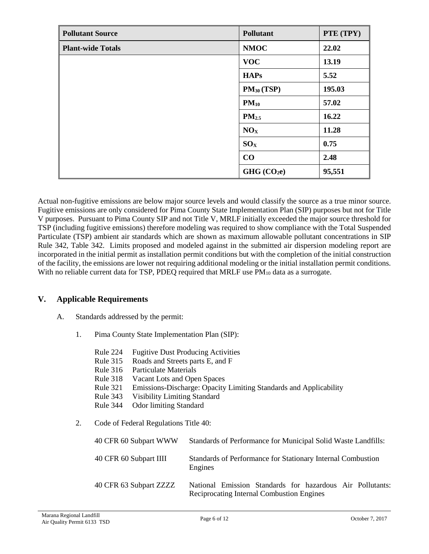| <b>Pollutant Source</b>  | Pollutant               | PTE (TPY) |
|--------------------------|-------------------------|-----------|
| <b>Plant-wide Totals</b> | <b>NMOC</b>             | 22.02     |
|                          | <b>VOC</b>              | 13.19     |
|                          | <b>HAPs</b>             | 5.52      |
|                          | $PM_{30} (TSP)$         | 195.03    |
|                          | $PM_{10}$               | 57.02     |
|                          | $PM_{2.5}$              | 16.22     |
|                          | NO <sub>X</sub>         | 11.28     |
|                          | $SO_{X}$                | 0.75      |
|                          | CO                      | 2.48      |
|                          | GHG (CO <sub>2</sub> e) | 95,551    |

Actual non-fugitive emissions are below major source levels and would classify the source as a true minor source. Fugitive emissions are only considered for Pima County State Implementation Plan (SIP) purposes but not for Title V purposes. Pursuant to Pima County SIP and not Title V, MRLF initially exceeded the major source threshold for TSP (including fugitive emissions) therefore modeling was required to show compliance with the Total Suspended Particulate (TSP) ambient air standards which are shown as maximum allowable pollutant concentrations in SIP Rule 342, Table 342. Limits proposed and modeled against in the submitted air dispersion modeling report are incorporated in the initial permit as installation permit conditions but with the completion of the initial construction of the facility, the emissions are lower not requiring additional modeling or the initial installation permit conditions. With no reliable current data for TSP, PDEQ required that MRLF use  $PM_{10}$  data as a surrogate.

## **V. Applicable Requirements**

- A. Standards addressed by the permit:
	- 1. Pima County State Implementation Plan (SIP):
		- Rule 224 Fugitive Dust Producing Activities
		- Rule 315 Roads and Streets parts E, and F
		- Rule 316 Particulate Materials
		- Rule 318 Vacant Lots and Open Spaces
		- Rule 321 Emissions-Discharge: Opacity Limiting Standards and Applicability
		- Rule 343 Visibility Limiting Standard
		- Rule 344 Odor limiting Standard
	- 2. Code of Federal Regulations Title 40:

| 40 CFR 60 Subpart WWW  | Standards of Performance for Municipal Solid Waste Landfills:                                          |
|------------------------|--------------------------------------------------------------------------------------------------------|
| 40 CFR 60 Subpart IIII | Standards of Performance for Stationary Internal Combustion<br>Engines                                 |
| 40 CFR 63 Subpart ZZZZ | National Emission Standards for hazardous Air Pollutants:<br>Reciprocating Internal Combustion Engines |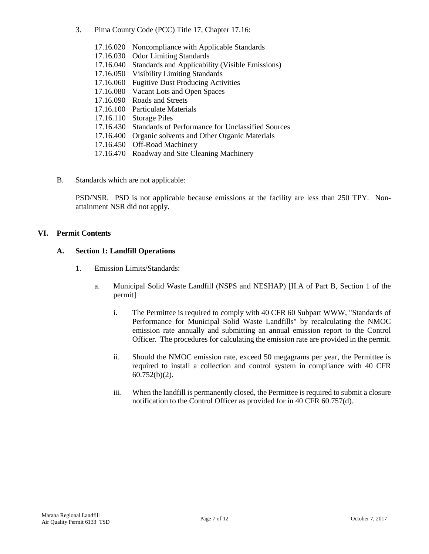3. Pima County Code (PCC) Title 17, Chapter 17.16:

| 17.16.020 | Noncompliance with Applicable Standards                  |
|-----------|----------------------------------------------------------|
| 17.16.030 | <b>Odor Limiting Standards</b>                           |
| 17.16.040 | Standards and Applicability (Visible Emissions)          |
| 17.16.050 | <b>Visibility Limiting Standards</b>                     |
| 17.16.060 | <b>Fugitive Dust Producing Activities</b>                |
| 17.16.080 | Vacant Lots and Open Spaces                              |
| 17.16.090 | Roads and Streets                                        |
| 17.16.100 | Particulate Materials                                    |
| 17.16.110 | <b>Storage Piles</b>                                     |
| 17.16.430 | <b>Standards of Performance for Unclassified Sources</b> |
| 17.16.400 | Organic solvents and Other Organic Materials             |
| 17.16.450 | <b>Off-Road Machinery</b>                                |
| 17.16.470 | Roadway and Site Cleaning Machinery                      |
|           |                                                          |

B. Standards which are not applicable:

PSD/NSR. PSD is not applicable because emissions at the facility are less than 250 TPY. Nonattainment NSR did not apply.

## **VI. Permit Contents**

### **A. Section 1: Landfill Operations**

- 1. Emission Limits/Standards:
	- a. Municipal Solid Waste Landfill (NSPS and NESHAP) [II.A of Part B, Section 1 of the permit]
		- i. The Permittee is required to comply with 40 CFR 60 Subpart WWW, "Standards of Performance for Municipal Solid Waste Landfills" by recalculating the NMOC emission rate annually and submitting an annual emission report to the Control Officer. The procedures for calculating the emission rate are provided in the permit.
		- ii. Should the NMOC emission rate, exceed 50 megagrams per year, the Permittee is required to install a collection and control system in compliance with 40 CFR 60.752(b)(2).
		- iii. When the landfill is permanently closed, the Permittee is required to submit a closure notification to the Control Officer as provided for in 40 CFR 60.757(d).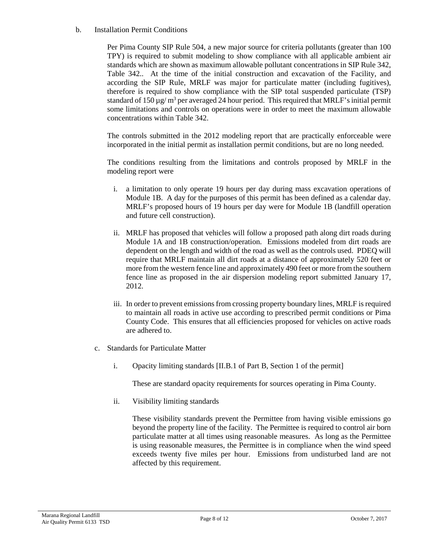### b. Installation Permit Conditions

Per Pima County SIP Rule 504, a new major source for criteria pollutants (greater than 100 TPY) is required to submit modeling to show compliance with all applicable ambient air standards which are shown as maximum allowable pollutant concentrations in SIP Rule 342, Table 342.. At the time of the initial construction and excavation of the Facility, and according the SIP Rule, MRLF was major for particulate matter (including fugitives), therefore is required to show compliance with the SIP total suspended particulate (TSP) standard of 150  $\mu$ g/ m<sup>3</sup> per averaged 24 hour period. This required that MRLF's initial permit some limitations and controls on operations were in order to meet the maximum allowable concentrations within Table 342.

The controls submitted in the 2012 modeling report that are practically enforceable were incorporated in the initial permit as installation permit conditions, but are no long needed.

The conditions resulting from the limitations and controls proposed by MRLF in the modeling report were

- i. a limitation to only operate 19 hours per day during mass excavation operations of Module 1B. A day for the purposes of this permit has been defined as a calendar day. MRLF's proposed hours of 19 hours per day were for Module 1B (landfill operation and future cell construction).
- ii. MRLF has proposed that vehicles will follow a proposed path along dirt roads during Module 1A and 1B construction/operation. Emissions modeled from dirt roads are dependent on the length and width of the road as well as the controls used. PDEQ will require that MRLF maintain all dirt roads at a distance of approximately 520 feet or more from the western fence line and approximately 490 feet or more from the southern fence line as proposed in the air dispersion modeling report submitted January 17, 2012.
- iii. In order to prevent emissions from crossing property boundary lines, MRLF is required to maintain all roads in active use according to prescribed permit conditions or Pima County Code. This ensures that all efficiencies proposed for vehicles on active roads are adhered to.
- c. Standards for Particulate Matter
	- i. Opacity limiting standards [II.B.1 of Part B, Section 1 of the permit]

These are standard opacity requirements for sources operating in Pima County.

ii. Visibility limiting standards

These visibility standards prevent the Permittee from having visible emissions go beyond the property line of the facility. The Permittee is required to control air born particulate matter at all times using reasonable measures. As long as the Permittee is using reasonable measures, the Permittee is in compliance when the wind speed exceeds twenty five miles per hour. Emissions from undisturbed land are not affected by this requirement.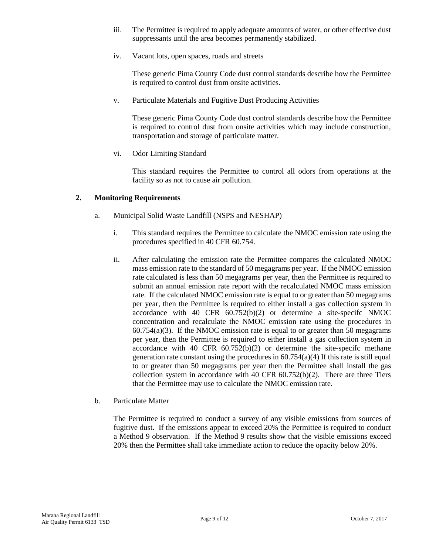- iii. The Permittee is required to apply adequate amounts of water, or other effective dust suppressants until the area becomes permanently stabilized.
- iv. Vacant lots, open spaces, roads and streets

These generic Pima County Code dust control standards describe how the Permittee is required to control dust from onsite activities.

v. Particulate Materials and Fugitive Dust Producing Activities

These generic Pima County Code dust control standards describe how the Permittee is required to control dust from onsite activities which may include construction, transportation and storage of particulate matter.

vi. Odor Limiting Standard

This standard requires the Permittee to control all odors from operations at the facility so as not to cause air pollution.

### **2. Monitoring Requirements**

- a. Municipal Solid Waste Landfill (NSPS and NESHAP)
	- i. This standard requires the Permittee to calculate the NMOC emission rate using the procedures specified in 40 CFR 60.754.
	- ii. After calculating the emission rate the Permittee compares the calculated NMOC mass emission rate to the standard of 50 megagrams per year. If the NMOC emission rate calculated is less than 50 megagrams per year, then the Permittee is required to submit an annual emission rate report with the recalculated NMOC mass emission rate. If the calculated NMOC emission rate is equal to or greater than 50 megagrams per year, then the Permittee is required to either install a gas collection system in accordance with 40 CFR 60.752(b)(2) or determine a site-specifc NMOC concentration and recalculate the NMOC emission rate using the procedures in  $60.754(a)(3)$ . If the NMOC emission rate is equal to or greater than 50 megagrams per year, then the Permittee is required to either install a gas collection system in accordance with  $40 \text{ CFR } 60.752(b)(2)$  or determine the site-specifc methane generation rate constant using the procedures in  $60.754(a)(4)$  If this rate is still equal to or greater than 50 megagrams per year then the Permittee shall install the gas collection system in accordance with 40 CFR  $60.752(b)(2)$ . There are three Tiers that the Permittee may use to calculate the NMOC emission rate.
- b. Particulate Matter

The Permittee is required to conduct a survey of any visible emissions from sources of fugitive dust. If the emissions appear to exceed 20% the Permittee is required to conduct a Method 9 observation. If the Method 9 results show that the visible emissions exceed 20% then the Permittee shall take immediate action to reduce the opacity below 20%.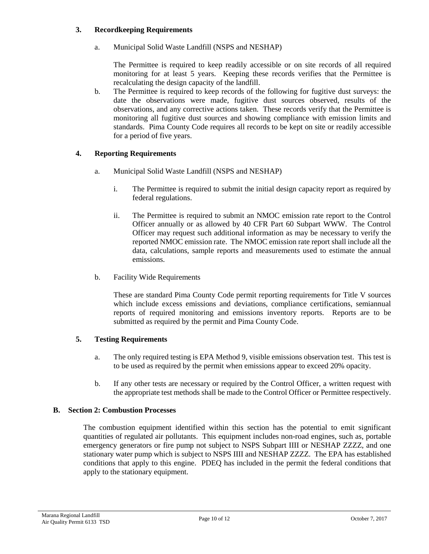### **3. Recordkeeping Requirements**

a. Municipal Solid Waste Landfill (NSPS and NESHAP)

The Permittee is required to keep readily accessible or on site records of all required monitoring for at least 5 years. Keeping these records verifies that the Permittee is recalculating the design capacity of the landfill.

b. The Permittee is required to keep records of the following for fugitive dust surveys: the date the observations were made, fugitive dust sources observed, results of the observations, and any corrective actions taken. These records verify that the Permittee is monitoring all fugitive dust sources and showing compliance with emission limits and standards. Pima County Code requires all records to be kept on site or readily accessible for a period of five years.

## **4. Reporting Requirements**

- a. Municipal Solid Waste Landfill (NSPS and NESHAP)
	- i. The Permittee is required to submit the initial design capacity report as required by federal regulations.
	- ii. The Permittee is required to submit an NMOC emission rate report to the Control Officer annually or as allowed by 40 CFR Part 60 Subpart WWW. The Control Officer may request such additional information as may be necessary to verify the reported NMOC emission rate. The NMOC emission rate report shall include all the data, calculations, sample reports and measurements used to estimate the annual emissions.
- b. Facility Wide Requirements

These are standard Pima County Code permit reporting requirements for Title V sources which include excess emissions and deviations, compliance certifications, semiannual reports of required monitoring and emissions inventory reports. Reports are to be submitted as required by the permit and Pima County Code.

### **5. Testing Requirements**

- a. The only required testing is EPA Method 9, visible emissions observation test. This test is to be used as required by the permit when emissions appear to exceed 20% opacity.
- b. If any other tests are necessary or required by the Control Officer, a written request with the appropriate test methods shall be made to the Control Officer or Permittee respectively.

### **B. Section 2: Combustion Processes**

The combustion equipment identified within this section has the potential to emit significant quantities of regulated air pollutants. This equipment includes non-road engines, such as, portable emergency generators or fire pump not subject to NSPS Subpart IIII or NESHAP ZZZZ, and one stationary water pump which is subject to NSPS IIII and NESHAP ZZZZ. The EPA has established conditions that apply to this engine. PDEQ has included in the permit the federal conditions that apply to the stationary equipment.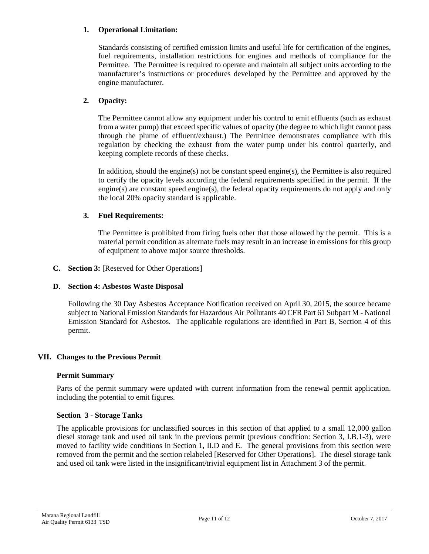## **1. Operational Limitation:**

Standards consisting of certified emission limits and useful life for certification of the engines, fuel requirements, installation restrictions for engines and methods of compliance for the Permittee. The Permittee is required to operate and maintain all subject units according to the manufacturer's instructions or procedures developed by the Permittee and approved by the engine manufacturer.

## **2. Opacity:**

The Permittee cannot allow any equipment under his control to emit effluents (such as exhaust from a water pump) that exceed specific values of opacity (the degree to which light cannot pass through the plume of effluent/exhaust.) The Permittee demonstrates compliance with this regulation by checking the exhaust from the water pump under his control quarterly, and keeping complete records of these checks.

In addition, should the engine(s) not be constant speed engine(s), the Permittee is also required to certify the opacity levels according the federal requirements specified in the permit. If the engine(s) are constant speed engine(s), the federal opacity requirements do not apply and only the local 20% opacity standard is applicable.

### **3. Fuel Requirements:**

The Permittee is prohibited from firing fuels other that those allowed by the permit. This is a material permit condition as alternate fuels may result in an increase in emissions for this group of equipment to above major source thresholds.

### **C. Section 3:** [Reserved for Other Operations]

## **D. Section 4: Asbestos Waste Disposal**

Following the 30 Day Asbestos Acceptance Notification received on April 30, 2015, the source became subject to National Emission Standards for Hazardous Air Pollutants 40 CFR Part 61 Subpart M - National Emission Standard for Asbestos. The applicable regulations are identified in Part B, Section 4 of this permit.

### **VII. Changes to the Previous Permit**

### **Permit Summary**

Parts of the permit summary were updated with current information from the renewal permit application. including the potential to emit figures.

### **Section 3 - Storage Tanks**

The applicable provisions for unclassified sources in this section of that applied to a small 12,000 gallon diesel storage tank and used oil tank in the previous permit (previous condition: Section 3, I.B.1-3), were moved to facility wide conditions in Section 1, II.D and E. The general provisions from this section were removed from the permit and the section relabeled [Reserved for Other Operations]. The diesel storage tank and used oil tank were listed in the insignificant/trivial equipment list in Attachment 3 of the permit.